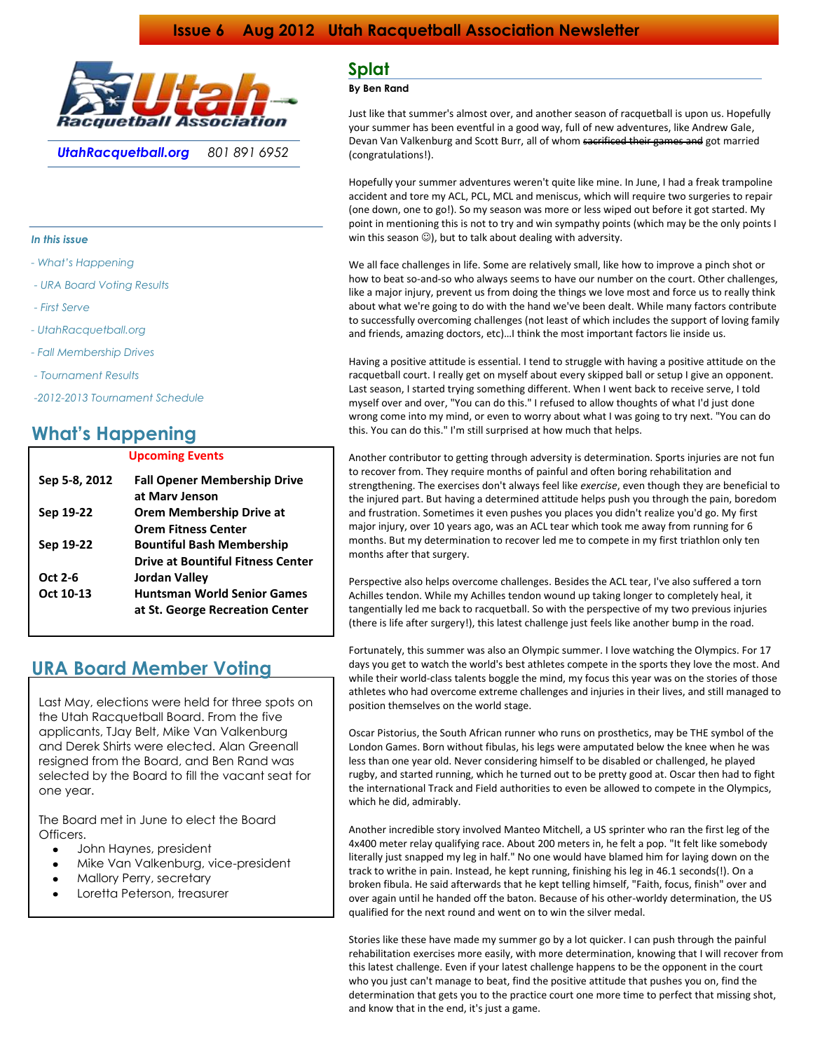

*UtahRacquetball.org 801 891 6952*

#### *In this issue*

- *- What's Happening*
- *- URA Board Voting Results*
- *- First Serve*

 $\overline{a}$ 

- *- UtahRacquetball.org*
- *- Fall Membership Drives*
- *- Tournament Results*

*-2012-2013 Tournament Schedule*

### **What's Happening**

| <b>Upcoming Events</b> |                                                                              |  |  |  |
|------------------------|------------------------------------------------------------------------------|--|--|--|
| Sep 5-8, 2012          | <b>Fall Opener Membership Drive</b><br>at Mary Jenson                        |  |  |  |
| Sep 19-22              | <b>Orem Membership Drive at</b><br><b>Orem Fitness Center</b>                |  |  |  |
| Sep 19-22              | <b>Bountiful Bash Membership</b><br><b>Drive at Bountiful Fitness Center</b> |  |  |  |
| Oct 2-6                | Jordan Valley                                                                |  |  |  |
| Oct 10-13              | <b>Huntsman World Senior Games</b><br>at St. George Recreation Center        |  |  |  |

# **URA Board Member Voting**

Last May, elections were held for three spots on the Utah Racquetball Board. From the five applicants, TJay Belt, Mike Van Valkenburg and Derek Shirts were elected. Alan Greenall resigned from the Board, and Ben Rand was selected by the Board to fill the vacant seat for one year.

The Board met in June to elect the Board Officers.

- John Haynes, president
- Mike Van Valkenburg, vice-president  $\bullet$
- Mallory Perry, secretary  $\bullet$
- Loretta Peterson, treasurer

### **Splat**

#### **By Ben Rand**

Just like that summer's almost over, and another season of racquetball is upon us. Hopefully your summer has been eventful in a good way, full of new adventures, like Andrew Gale, Devan Van Valkenburg and Scott Burr, all of whom sacrificed their games and got married (congratulations!).

Hopefully your summer adventures weren't quite like mine. In June, I had a freak trampoline accident and tore my ACL, PCL, MCL and meniscus, which will require two surgeries to repair (one down, one to go!). So my season was more or less wiped out before it got started. My point in mentioning this is not to try and win sympathy points (which may be the only points I win this season  $\circledcirc$ ), but to talk about dealing with adversity.

We all face challenges in life. Some are relatively small, like how to improve a pinch shot or how to beat so-and-so who always seems to have our number on the court. Other challenges, like a major injury, prevent us from doing the things we love most and force us to really think about what we're going to do with the hand we've been dealt. While many factors contribute to successfully overcoming challenges (not least of which includes the support of loving family and friends, amazing doctors, etc)…I think the most important factors lie inside us.

Having a positive attitude is essential. I tend to struggle with having a positive attitude on the racquetball court. I really get on myself about every skipped ball or setup I give an opponent. Last season, I started trying something different. When I went back to receive serve, I told myself over and over, "You can do this." I refused to allow thoughts of what I'd just done wrong come into my mind, or even to worry about what I was going to try next. "You can do this. You can do this." I'm still surprised at how much that helps.

Another contributor to getting through adversity is determination. Sports injuries are not fun to recover from. They require months of painful and often boring rehabilitation and strengthening. The exercises don't always feel like *exercise*, even though they are beneficial to the injured part. But having a determined attitude helps push you through the pain, boredom and frustration. Sometimes it even pushes you places you didn't realize you'd go. My first major injury, over 10 years ago, was an ACL tear which took me away from running for 6 months. But my determination to recover led me to compete in my first triathlon only ten months after that surgery.

Perspective also helps overcome challenges. Besides the ACL tear, I've also suffered a torn Achilles tendon. While my Achilles tendon wound up taking longer to completely heal, it tangentially led me back to racquetball. So with the perspective of my two previous injuries (there is life after surgery!), this latest challenge just feels like another bump in the road.

Fortunately, this summer was also an Olympic summer. I love watching the Olympics. For 17 days you get to watch the world's best athletes compete in the sports they love the most. And while their world-class talents boggle the mind, my focus this year was on the stories of those athletes who had overcome extreme challenges and injuries in their lives, and still managed to position themselves on the world stage.

Oscar Pistorius, the South African runner who runs on prosthetics, may be THE symbol of the London Games. Born without fibulas, his legs were amputated below the knee when he was less than one year old. Never considering himself to be disabled or challenged, he played rugby, and started running, which he turned out to be pretty good at. Oscar then had to fight the international Track and Field authorities to even be allowed to compete in the Olympics, which he did, admirably.

Another incredible story involved Manteo Mitchell, a US sprinter who ran the first leg of the 4x400 meter relay qualifying race. About 200 meters in, he felt a pop. "It felt like somebody literally just snapped my leg in half." No one would have blamed him for laying down on the track to writhe in pain. Instead, he kept running, finishing his leg in 46.1 seconds(!). On a broken fibula. He said afterwards that he kept telling himself, "Faith, focus, finish" over and over again until he handed off the baton. Because of his other-worldy determination, the US qualified for the next round and went on to win the silver medal.

Stories like these have made my summer go by a lot quicker. I can push through the painful rehabilitation exercises more easily, with more determination, knowing that I will recover from this latest challenge. Even if your latest challenge happens to be the opponent in the court who you just can't manage to beat, find the positive attitude that pushes you on, find the determination that gets you to the practice court one more time to perfect that missing shot, and know that in the end, it's just a game.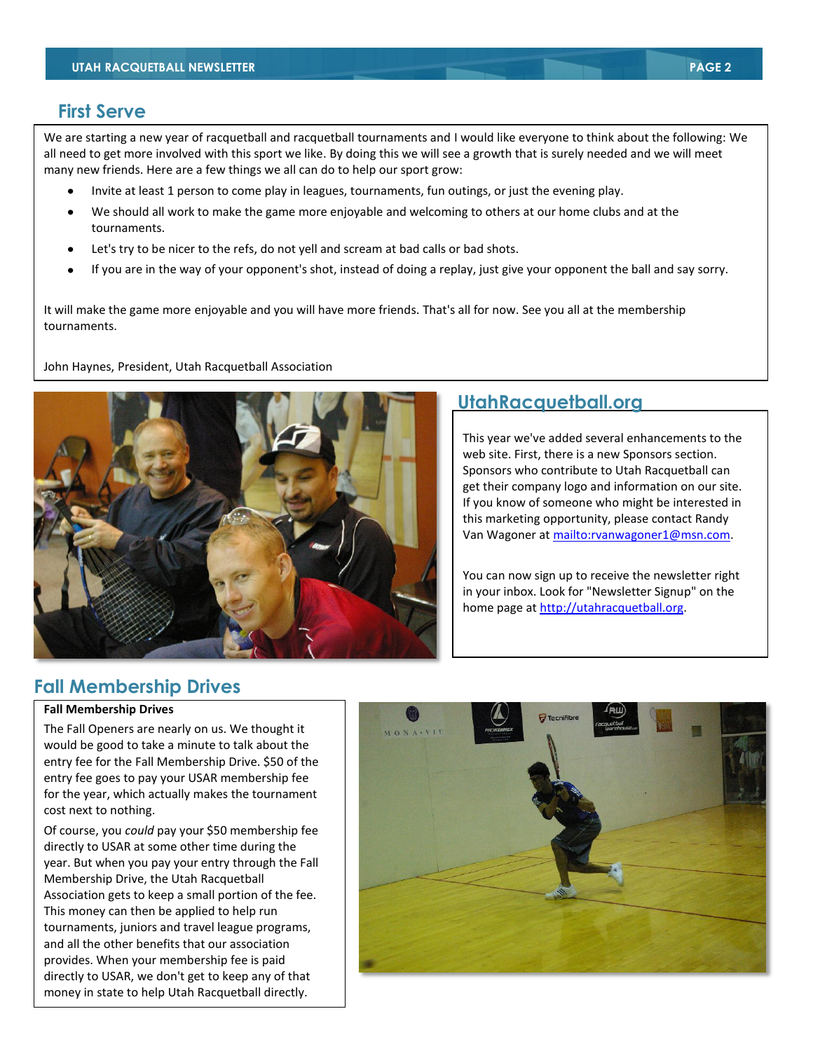### **First Serve**

We are starting a new year of racquetball and racquetball tournaments and I would like everyone to think about the following: We all need to get more involved with this sport we like. By doing this we will see a growth that is surely needed and we will meet many new friends. Here are a few things we all can do to help our sport grow:

- Invite at least 1 person to come play in leagues, tournaments, fun outings, or just the evening play.  $\bullet$
- We should all work to make the game more enjoyable and welcoming to others at our home clubs and at the tournaments.
- Let's try to be nicer to the refs, do not yell and scream at bad calls or bad shots.
- If you are in the way of your opponent's shot, instead of doing a replay, just give your opponent the ball and say sorry.

It will make the game more enjoyable and you will have more friends. That's all for now. See you all at the membership tournaments.

John Haynes, President, Utah Racquetball Association



## **UtahRacquetball.org**

This year we've added several enhancements to the web site. First, there is a new Sponsors section. Sponsors who contribute to Utah Racquetball can get their company logo and information on our site. If you know of someone who might be interested in this marketing opportunity, please contact Randy Van Wagoner a[t mailto:rvanwagoner1@msn.com.](mailto:rvanwagoner1@msn.com)

You can now sign up to receive the newsletter right in your inbox. Look for "Newsletter Signup" on the home page a[t http://utahracquetball.org.](http://utahracquetball.org/)

## **Fall Membership Drives**

### **Fall Membership Drives**

The Fall Openers are nearly on us. We thought it would be good to take a minute to talk about the entry fee for the Fall Membership Drive. \$50 of the entry fee goes to pay your USAR membership fee for the year, which actually makes the tournament cost next to nothing.

Of course, you *could* pay your \$50 membership fee directly to USAR at some other time during the year. But when you pay your entry through the Fall Membership Drive, the Utah Racquetball Association gets to keep a small portion of the fee. This money can then be applied to help run tournaments, juniors and travel league programs, and all the other benefits that our association provides. When your membership fee is paid directly to USAR, we don't get to keep any of that money in state to help Utah Racquetball directly.

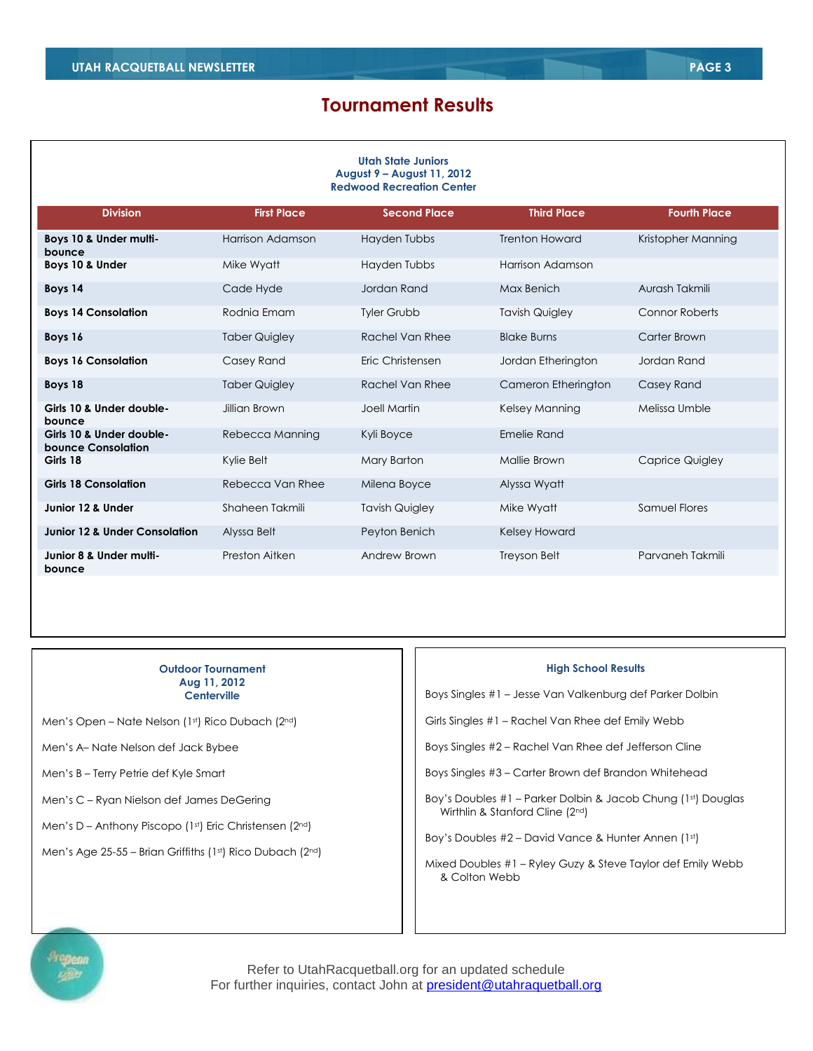# **Tournament Results**

| <b>Utah State Juniors</b><br>August 9 - August 11, 2012<br><b>Redwood Recreation Center</b> |                      |                       |                         |                        |  |  |  |  |
|---------------------------------------------------------------------------------------------|----------------------|-----------------------|-------------------------|------------------------|--|--|--|--|
| <b>Division</b>                                                                             | <b>First Place</b>   | <b>Second Place</b>   | <b>Third Place</b>      | <b>Fourth Place</b>    |  |  |  |  |
| Boys 10 & Under multi-<br>bounce                                                            | Harrison Adamson     | Hayden Tubbs          | <b>Trenton Howard</b>   | Kristopher Manning     |  |  |  |  |
| Boys 10 & Under                                                                             | Mike Wyatt           | Hayden Tubbs          | <b>Harrison Adamson</b> |                        |  |  |  |  |
| Boys 14                                                                                     | Cade Hyde            | Jordan Rand           | Max Benich              | Aurash Takmili         |  |  |  |  |
| <b>Boys 14 Consolation</b>                                                                  | Rodnia Emam          | <b>Tyler Grubb</b>    | <b>Tavish Quigley</b>   | <b>Connor Roberts</b>  |  |  |  |  |
| Boys 16                                                                                     | <b>Taber Quigley</b> | Rachel Van Rhee       | <b>Blake Burns</b>      | Carter Brown           |  |  |  |  |
| <b>Boys 16 Consolation</b>                                                                  | Casey Rand           | Eric Christensen      | Jordan Etherington      | Jordan Rand            |  |  |  |  |
| Boys 18                                                                                     | <b>Taber Quigley</b> | Rachel Van Rhee       | Cameron Etherington     | Casey Rand             |  |  |  |  |
| Girls 10 & Under double-<br>bounce                                                          | Jillian Brown        | Joell Martin          | Kelsey Manning          | Melissa Umble          |  |  |  |  |
| Girls 10 & Under double-<br>bounce Consolation                                              | Rebecca Manning      | Kyli Boyce            | <b>Emelie Rand</b>      |                        |  |  |  |  |
| Girls 18                                                                                    | Kylie Belt           | Mary Barton           | Mallie Brown            | <b>Caprice Quigley</b> |  |  |  |  |
| <b>Girls 18 Consolation</b>                                                                 | Rebecca Van Rhee     | Milena Boyce          | Alyssa Wyatt            |                        |  |  |  |  |
| Junior 12 & Under                                                                           | Shaheen Takmili      | <b>Tavish Quigley</b> | Mike Wyatt              | Samuel Flores          |  |  |  |  |
| <b>Junior 12 &amp; Under Consolation</b>                                                    | Alyssa Belt          | Peyton Benich         | <b>Kelsey Howard</b>    |                        |  |  |  |  |
| Junior 8 & Under multi-<br>bounce                                                           | Preston Aitken       | Andrew Brown          | <b>Treyson Belt</b>     | Parvaneh Takmili       |  |  |  |  |

### **Outdoor Tournament Aug 11, 2012 Centerville**

Men's Open – Nate Nelson (1st) Rico Dubach (2nd)

Men's A– Nate Nelson def Jack Bybee

Men's B – Terry Petrie def Kyle Smart

Men's C – Ryan Nielson def James DeGering

Men's D – Anthony Piscopo (1st) Eric Christensen (2nd)

Men's Age 25-55 – Brian Griffiths (1st) Rico Dubach (2nd)

#### **High School Results**

Boys Singles #1 – Jesse Van Valkenburg def Parker Dolbin

Girls Singles #1 – Rachel Van Rhee def Emily Webb

Boys Singles #2 – Rachel Van Rhee def Jefferson Cline

Boys Singles #3 – Carter Brown def Brandon Whitehead

Boy's Doubles #1 - Parker Dolbin & Jacob Chung (1st) Douglas Wirthlin & Stanford Cline (2nd)

Boy's Doubles #2 – David Vance & Hunter Annen (1st)

Mixed Doubles #1 – Ryley Guzy & Steve Taylor def Emily Webb & Colton Webb

Refer to UtahRacquetball.org for an updated schedule For further inquiries, contact John at president@utahraquetball.org